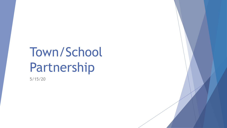# Town/School Partnership

5/15/20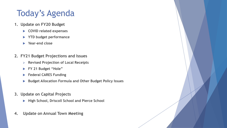## Today's Agenda

- **1. Update on FY20 Budget** 
	- **COVID related expenses**
	- **YTD budget performance**
	- **Year-end close**
- **2. FY21 Budget Projections and Issues**
	- **Revised Projection of Local Receipts**
	- **FY 21 Budget "Hole"**
	- **Federal CARES Funding**
	- **Budget Allocation Formula and Other Budget Policy Issues**
- **3. Update on Capital Projects** 
	- **High School, Driscoll School and Pierce School**
- **4. Update on Annual Town Meeting**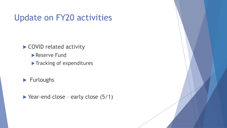▶ COVID related activity

Reserve Fund

Tracking of expenditures

 $\blacktriangleright$  Furloughs

▶ Year-end close - early close (5/1)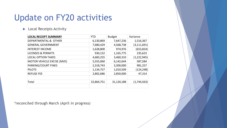#### **Local Receipts Activity**

| <b>LOCAL RECEIPT SUMMARY</b>  | <b>YTD</b> | <b>Budget</b> | Variance      |
|-------------------------------|------------|---------------|---------------|
| DEPARTMENTAL & OTHER          | 6,130,869  | 7,647,236     | 1,516,367     |
| <b>GENERAL GOVERNMENT</b>     | 7,680,429  | 4,568,738     | (3, 111, 691) |
| <b>INTEREST INCOME</b>        | 1,628,800  | 974,976       | (653, 824)    |
| <b>LICENSES &amp; PERMITS</b> | 930,152    | 1,165,775     | 235,623       |
| <b>LOCAL OPTION TAXES</b>     | 4,683,255  | 3,460,310     | (1,222,945)   |
| MOTOR VEHICLE EXCISE (MVE)    | 5,555,060  | 6,142,644     | 587,584       |
| PARKING/COURT FINES           | 2,318,743  | 3,300,000     | 981,257       |
| <b>PILOTS</b>                 | 1,134,757  | 1,010,509     | (124, 248)    |
| <b>REFUSE FEE</b>             | 2,802,686  | 2,850,000     | 47,314        |
|                               |            |               |               |
| Total                         | 32,864,751 | 31,120,188    | (1,744,563)   |
|                               |            |               |               |

\*reconciled through March (April in progress)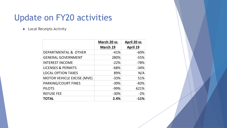**Local Receipts Activity** 

|                                   | March 20 vs | April 20 vs     |  |  |
|-----------------------------------|-------------|-----------------|--|--|
|                                   | March 19    | <b>April 19</b> |  |  |
| DEPARTMENTAL & OTHER              | $-41%$      | $-60%$          |  |  |
| <b>GENERAL GOVERNMENT</b>         | 280%        | $-55%$          |  |  |
| <b>INTEREST INCOME</b>            | $-22%$      | $-78%$          |  |  |
| <b>LICENSES &amp; PERMITS</b>     | $-68%$      | $-34%$          |  |  |
| <b>LOCAL OPTION TAXES</b>         | 89%         | N/A             |  |  |
| <b>MOTOR VEHICLE EXCISE (MVE)</b> | $-33%$      | 51%             |  |  |
| PARKING/COURT FINES               | $-39%$      | $-83%$          |  |  |
| <b>PILOTS</b>                     | $-99%$      | 621%            |  |  |
| <b>REFUSE FEE</b>                 | $-30%$      | $-2%$           |  |  |
| <b>TOTAL</b>                      | 2.4%        | $-11%$          |  |  |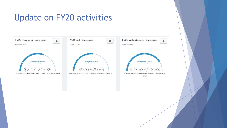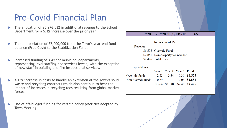#### Pre-Covid Financial Plan

- The allocation of \$5,976,032 in additional revenue to the School Department for a 5.1% increase over the prior year.
- The appropriation of \$2,000,000 from the Town's year-end fund balance (Free Cash) to the Stabilization Fund.
- Increased funding of 3.4% for municipal departments, representing level staffing and services levels, with the exception of new staff in building and fire inspectional services.
- A 15% increase in costs to handle an extension of the Town's solid waste and recycling contracts which also continue to bear the impact of increases in recycling fees resulting from global market forces.
- Use of off-budget funding for certain policy priorities adopted by Town Meeting.

#### FY2019 - FY2021 OVERRIDE PLAN In millions of \$'s Revenue \$6.575 Override Funds \$2.851 Non-property tax revenue \$9,426 Total Plan **Expenditures** Year 1 Year 2 Year 3 Total Override funds 2.85 3.34 0.39 \$6.575 Non-override funds  $0.79 -$ 2.06 \$2.851  $$3.64$   $$3.340$   $$2.45$   $$9.426$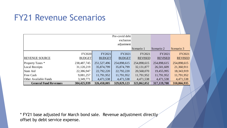#### FY21 Revenue Scenarios

|                              |               |               |               | Scenario 1     | Scenario 2     | Scenario 3     |
|------------------------------|---------------|---------------|---------------|----------------|----------------|----------------|
|                              | <b>FY2020</b> | FY2021        | FY2021        | FY2021         | FY2021         | FY2021         |
| <b>REVENUE SOURCE</b>        | <b>BUDGET</b> | <b>BUDGET</b> | <b>BUDGET</b> | <b>REVISED</b> | <b>REVISED</b> | <b>REVISED</b> |
| <b>Property Taxes</b> *      | 238,487,745   | 251,527,496   | 254,898,615   | 254,898,615    | 254,898,615    | 254,898,615    |
| Local Receipts               | 31,120,219    | 35,874,799    | 35,874,799    | 32, 131, 877   | 26,501,609     | 21,360,911     |
| State Aid                    | 22,386,947    | 22,792,220    | 22,792,220    | 20,568,070     | 19,455,995     | 18,343,919     |
| <b>Free Cash</b>             | 9,081,257     | 11,791,952    | 11,791,952    | 11,791,952     | 11,791,952     | 11,791,952     |
| Other Available Funds        | 3,349,771     | 4,471,538     | 4,471,538     | 4,471,538      | 4,471,538      | 4,471,538      |
| <b>General Fund Revenues</b> | 304,425,939   | 326,458,005   | 329,829,123   | 323,862,052    | 317,119,708    | 310,866,935    |

 $*$  FY21 base adjusted for March bond sale. Revenue adjustment directly offset by debt service expense.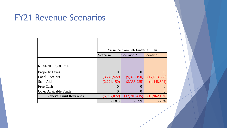#### FY21 Revenue Scenarios

|                              | Variance from Feb Financial Plan |              |              |  |  |  |
|------------------------------|----------------------------------|--------------|--------------|--|--|--|
|                              | Scenario 1                       | Scenario 2   | Scenario 3   |  |  |  |
|                              |                                  |              |              |  |  |  |
| <b>REVENUE SOURCE</b>        |                                  |              |              |  |  |  |
| <b>Property Taxes</b> *      | $\Omega$                         |              | 0            |  |  |  |
| <b>Local Receipts</b>        | (3,742,922)                      | (9,373,190)  | (14,513,888) |  |  |  |
| <b>State Aid</b>             | (2,224,150)                      | (3,336,225)  | (4,448,301)  |  |  |  |
| Free Cash                    |                                  |              |              |  |  |  |
| <b>Other Available Funds</b> |                                  |              |              |  |  |  |
| <b>General Fund Revenues</b> | (5,967,072)                      | (12,709,415) | (18,962,189) |  |  |  |
|                              | $-1.8%$                          | $-3.9\%$     | $-5.8\%$     |  |  |  |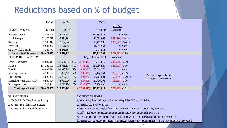### Reductions based on % of budget

|                                                                                                                                    | FY2020                                                                  | FY2021                                                                   |                                                                                     |                                                                                                                         | FY2021                    |                        |         |  |                                            |  |
|------------------------------------------------------------------------------------------------------------------------------------|-------------------------------------------------------------------------|--------------------------------------------------------------------------|-------------------------------------------------------------------------------------|-------------------------------------------------------------------------------------------------------------------------|---------------------------|------------------------|---------|--|--------------------------------------------|--|
|                                                                                                                                    |                                                                         |                                                                          |                                                                                     |                                                                                                                         |                           | <b>Vs FY21</b>         |         |  |                                            |  |
| REVENUE SOURCE                                                                                                                     | <b>BUDGET</b>                                                           | <b>BUDGET</b>                                                            |                                                                                     |                                                                                                                         | <b>REVISED</b>            | Submitted              |         |  |                                            |  |
| Property Taxes *                                                                                                                   | 238,487,745                                                             | 254,898,615                                                              |                                                                                     |                                                                                                                         | 254,898,615               |                        | $0.0\%$ |  |                                            |  |
| <b>Local Receipts</b>                                                                                                              | 31,120,219                                                              | 35,874,799                                                               |                                                                                     |                                                                                                                         | 26,501,609                | $(9,373,190) - 26.1\%$ |         |  |                                            |  |
| State Aid                                                                                                                          | 22,386,947                                                              | 22,792,220                                                               |                                                                                     |                                                                                                                         | 19,455,995                | $(3,336,225) - 14.6\%$ |         |  |                                            |  |
| Free Cash                                                                                                                          | 9,081,257                                                               | 11,791,952                                                               |                                                                                     |                                                                                                                         | 11,791,952                |                        | $0.0\%$ |  |                                            |  |
| Other Available Funds                                                                                                              | 3,349,771                                                               | 4,471,538                                                                |                                                                                     |                                                                                                                         | 4,471,538                 |                        | $0.0\%$ |  |                                            |  |
| <b>General Fund Revenues</b>                                                                                                       | 304,425,937                                                             | 329,829,123                                                              |                                                                                     |                                                                                                                         | 317,119,708               | $(12,709,415)$ 3.9%    |         |  |                                            |  |
| <b>EXPENDITURE CATEGORY</b>                                                                                                        |                                                                         |                                                                          |                                                                                     |                                                                                                                         | <b>Target Recommended</b> | Reduction              |         |  |                                            |  |
| <b>Town Departments</b>                                                                                                            | 78,990,815                                                              | 81,681,032                                                               | 25%                                                                                 | (3,147,442)                                                                                                             | 76,634,815                | $(5,046,218) -6.2\%$   |         |  |                                            |  |
| Schools                                                                                                                            | 117,385,105                                                             | 123,361,137                                                              | 37%                                                                                 | (4,753,515)                                                                                                             | 117,080,529               | $(6,280,608) -5.1\%$   |         |  |                                            |  |
| <b>Benefits</b>                                                                                                                    | 66,438,626                                                              | 68,898,264                                                               | 21%                                                                                 | (2,654,880)                                                                                                             | 68,518,371                |                        | 0.0%    |  |                                            |  |
| Non-Departmental                                                                                                                   | 4,108,594                                                               | 7,430,475                                                                | 2%                                                                                  | (286, 321)                                                                                                              | 7,144,154                 | $(286,321) -3.9\%$     |         |  |                                            |  |
| Debt Service                                                                                                                       | 18,828,262                                                              | 25,763,034                                                               | 8%                                                                                  | (992, 736)                                                                                                              | 25,204,624                | $(558, 410) -2.2\%$    |         |  | Actual surplus based<br>on March borrowing |  |
| Special Appropriations (CIP)                                                                                                       | 9,949,094                                                               | 13,958,250                                                               | 4%                                                                                  | (537, 858)                                                                                                              | 13,420,392                | $(537,858) - 3.9\%$    |         |  |                                            |  |
| Non-Appropriated                                                                                                                   | 8,725,441                                                               | 8,736,930                                                                | 3%                                                                                  | (336, 663)                                                                                                              | 8,736,930                 |                        | $0.0\%$ |  |                                            |  |
| <b>Total expenditures</b>                                                                                                          | 304,425,937                                                             | 329,829,123                                                              |                                                                                     | (12,709,415)                                                                                                            | 316,739,815               | $(12,709,415)$ 3.9%    |         |  |                                            |  |
|                                                                                                                                    |                                                                         |                                                                          |                                                                                     |                                                                                                                         |                           |                        |         |  |                                            |  |
| <b>REVENUE NOTES:</b><br><b>EXPENDITURE NOTES:</b>                                                                                 |                                                                         |                                                                          |                                                                                     |                                                                                                                         |                           |                        |         |  |                                            |  |
| 1. No CAREs Act/Covid-related funding                                                                                              |                                                                         | 1. Non-appropriated reduction redirected and split 50/50 Town and School |                                                                                     |                                                                                                                         |                           |                        |         |  |                                            |  |
|                                                                                                                                    | 2. Assumes no parking meter increase<br>2. Assumes cuts possible in CIP |                                                                          |                                                                                     |                                                                                                                         |                           |                        |         |  |                                            |  |
| 3. \$558,410 represents surplus from March borrowing (2 projects used BANs, lower rates)<br>3. Assumes mid-year trash fee increase |                                                                         |                                                                          |                                                                                     |                                                                                                                         |                           |                        |         |  |                                            |  |
|                                                                                                                                    |                                                                         |                                                                          | 4. Difference between debt service target and \$558K redirected and split 50/50 T/S |                                                                                                                         |                           |                        |         |  |                                            |  |
|                                                                                                                                    |                                                                         |                                                                          |                                                                                     | 5. If cuts in non-departmental not feasible reductions would need to be redirected and split 50/50 T/S                  |                           |                        |         |  |                                            |  |
|                                                                                                                                    |                                                                         |                                                                          |                                                                                     | 6. Assume can't be reduced premium split changed - target redirected and split 57/43 T/S (current benefit distribution) |                           |                        |         |  |                                            |  |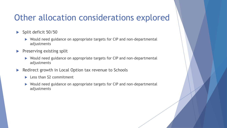#### Other allocation considerations explored

- Split deficit 50/50
	- Would need guidance on appropriate targets for CIP and non-departmental adjustments
- $\blacktriangleright$  Preserving existing split
	- ▶ Would need guidance on appropriate targets for CIP and non-departmental adjustments
- Redirect growth in Local Option tax revenue to Schools
	- $\blacktriangleright$  Less than \$2 commitment
	- ▶ Would need guidance on appropriate targets for CIP and non-departmental adjustments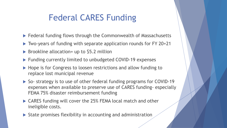### Federal CARES Funding

- ▶ Federal funding flows through the Commonwealth of Massachusetts
- ▶ Two-years of funding with separate application rounds for FY 20+21
- $\triangleright$  Brookline allocation= up to \$5.2 million
- ▶ Funding currently limited to unbudgeted COVID-19 expenses
- ▶ Hope is for Congress to loosen restrictions and allow funding to replace lost municipal revenue
- ▶ So- strategy is to use of other federal funding programs for COVID-19 expenses when available to preserve use of CARES funding- especially FEMA 75% disaster reimbursement funding
- ▶ CARES funding will cover the 25% FEMA local match and other ineligible costs.
- $\triangleright$  State promises flexibility in accounting and administration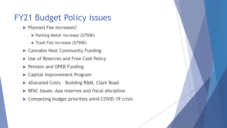#### FY21 Budget Policy issues

- **Planned Fee Increases?** 
	- ▶ Parking Meter increase (\$750K)
	- Trash Fee increase (\$750K)
- ▶ Cannabis Host Community Funding
- ▶ Use of Reserves and Free Cash Policy
- Pension and OPEB Funding
- Capital Improvement Program
- ▶ Allocated Costs Building R&M, Clark Road
- ▶ BFAC Issues Aaa reserves and fiscal discipline
- ▶ Competing budget priorities amid COVID-19 crisis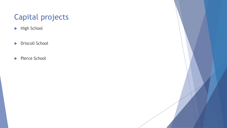#### Capital projects

- ▶ High School
- **Driscoll School**
- Pierce School